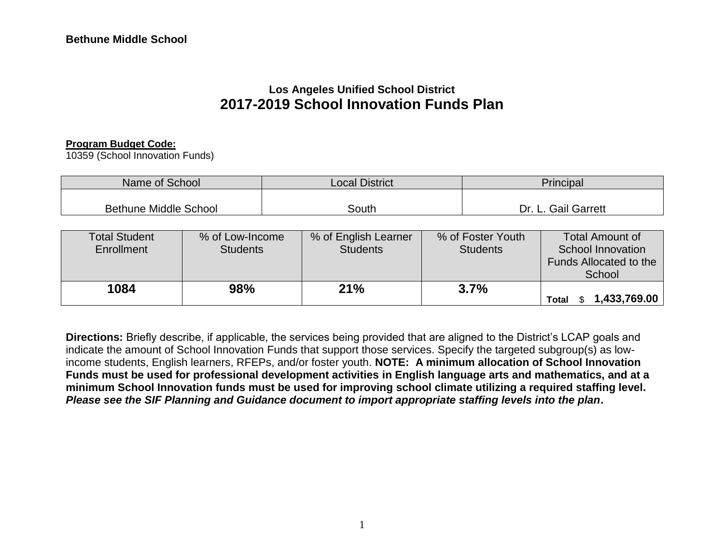# **Los Angeles Unified School District 2017-2019 School Innovation Funds Plan**

#### **Program Budget Code:**

10359 (School Innovation Funds)

| Name of School               | <b>Local District</b> | Principal                  |
|------------------------------|-----------------------|----------------------------|
| <b>Bethune Middle School</b> | South                 | <b>Gail Garrett</b><br>Dr. |

| <b>Total Student</b><br>Enrollment | % of Low-Income<br><b>Students</b> | % of English Learner<br><b>Students</b> | % of Foster Youth<br><b>Students</b> | <b>Total Amount of</b><br>School Innovation<br><b>Funds Allocated to the</b><br>School |
|------------------------------------|------------------------------------|-----------------------------------------|--------------------------------------|----------------------------------------------------------------------------------------|
| 1084                               | 98%                                | 21%                                     | 3.7%                                 | 1,433,769.00<br><b>Total</b>                                                           |

**Directions:** Briefly describe, if applicable, the services being provided that are aligned to the District's LCAP goals and indicate the amount of School Innovation Funds that support those services. Specify the targeted subgroup(s) as lowincome students, English learners, RFEPs, and/or foster youth. **NOTE: A minimum allocation of School Innovation Funds must be used for professional development activities in English language arts and mathematics, and at a minimum School Innovation funds must be used for improving school climate utilizing a required staffing level.**  *Please see the SIF Planning and Guidance document to import appropriate staffing levels into the plan***.**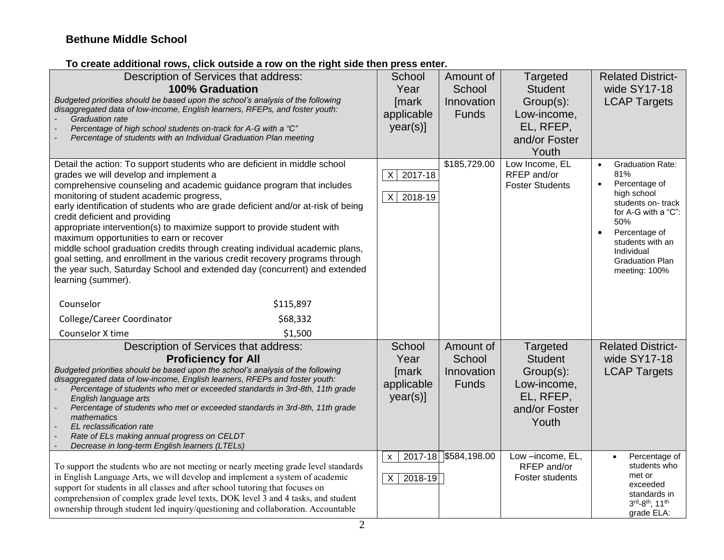#### **To create additional rows, click outside a row on the right side then press enter.**

| Description of Services that address:<br><b>100% Graduation</b><br>Budgeted priorities should be based upon the school's analysis of the following<br>disaggregated data of low-income, English learners, RFEPs, and foster youth:<br><b>Graduation rate</b><br>Percentage of high school students on-track for A-G with a "C"<br>Percentage of students with an Individual Graduation Plan meeting                                                                                                                                                                                                                                                                                                                                                                               | School<br>Year<br>[mark<br>applicable<br>$year(s)$ ] | Amount of<br>School<br>Innovation<br><b>Funds</b> | Targeted<br><b>Student</b><br>Group(s):<br>Low-income,<br>EL, RFEP,<br>and/or Foster<br>Youth | <b>Related District-</b><br>wide SY17-18<br><b>LCAP Targets</b>                                                                                                                                                                                        |
|-----------------------------------------------------------------------------------------------------------------------------------------------------------------------------------------------------------------------------------------------------------------------------------------------------------------------------------------------------------------------------------------------------------------------------------------------------------------------------------------------------------------------------------------------------------------------------------------------------------------------------------------------------------------------------------------------------------------------------------------------------------------------------------|------------------------------------------------------|---------------------------------------------------|-----------------------------------------------------------------------------------------------|--------------------------------------------------------------------------------------------------------------------------------------------------------------------------------------------------------------------------------------------------------|
| Detail the action: To support students who are deficient in middle school<br>grades we will develop and implement a<br>comprehensive counseling and academic guidance program that includes<br>monitoring of student academic progress,<br>early identification of students who are grade deficient and/or at-risk of being<br>credit deficient and providing<br>appropriate intervention(s) to maximize support to provide student with<br>maximum opportunities to earn or recover<br>middle school graduation credits through creating individual academic plans,<br>goal setting, and enrollment in the various credit recovery programs through<br>the year such, Saturday School and extended day (concurrent) and extended<br>learning (summer).<br>\$115,897<br>Counselor | 2017-18<br>X<br>2018-19<br>$\times$                  | \$185,729.00                                      | Low Income, EL<br>RFEP and/or<br><b>Foster Students</b>                                       | <b>Graduation Rate:</b><br>$\bullet$<br>81%<br>Percentage of<br>$\bullet$<br>high school<br>students on-track<br>for A-G with a "C":<br>50%<br>Percentage of<br>$\bullet$<br>students with an<br>Individual<br><b>Graduation Plan</b><br>meeting: 100% |
| \$68,332<br>College/Career Coordinator                                                                                                                                                                                                                                                                                                                                                                                                                                                                                                                                                                                                                                                                                                                                            |                                                      |                                                   |                                                                                               |                                                                                                                                                                                                                                                        |
| Counselor X time<br>\$1,500<br>Description of Services that address:<br><b>Proficiency for All</b><br>Budgeted priorities should be based upon the school's analysis of the following<br>disaggregated data of low-income, English learners, RFEPs and foster youth:<br>Percentage of students who met or exceeded standards in 3rd-8th, 11th grade<br>English language arts<br>Percentage of students who met or exceeded standards in 3rd-8th, 11th grade<br>mathematics<br>EL reclassification rate<br>Rate of ELs making annual progress on CELDT<br>Decrease in long-term English learners (LTELs)                                                                                                                                                                           | School<br>Year<br>[mark<br>applicable<br>year(s)]    | Amount of<br>School<br>Innovation<br><b>Funds</b> | Targeted<br><b>Student</b><br>Group(s):<br>Low-income,<br>EL, RFEP,<br>and/or Foster<br>Youth | <b>Related District-</b><br>wide SY17-18<br><b>LCAP Targets</b>                                                                                                                                                                                        |
| To support the students who are not meeting or nearly meeting grade level standards<br>in English Language Arts, we will develop and implement a system of academic<br>support for students in all classes and after school tutoring that focuses on<br>comprehension of complex grade level texts, DOK level 3 and 4 tasks, and student<br>ownership through student led inquiry/questioning and collaboration. Accountable                                                                                                                                                                                                                                                                                                                                                      | $\mathsf{x}$<br>$\sf X$<br>2018-19                   | 2017-18 \$584,198.00                              | Low-income, EL,<br>RFEP and/or<br>Foster students                                             | Percentage of<br>students who<br>met or<br>exceeded<br>standards in<br>3rd-8th, 11th<br>grade ELA:                                                                                                                                                     |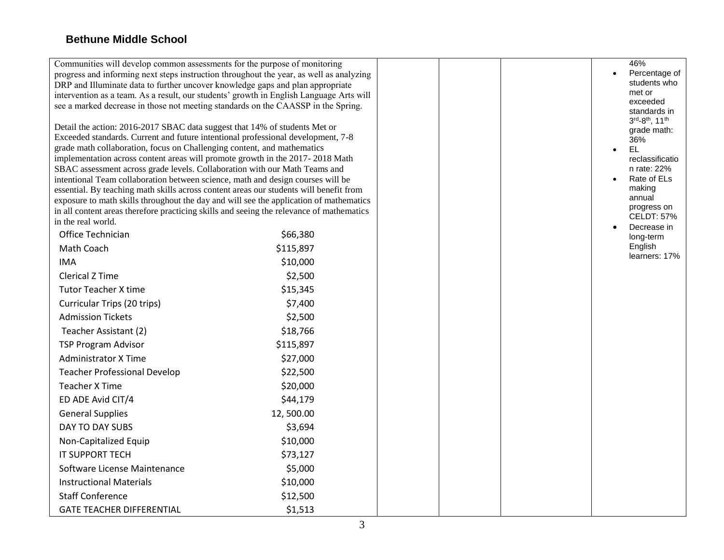| Communities will develop common assessments for the purpose of monitoring                                                                                                    |                                                                                          |  | 46%                                    |
|------------------------------------------------------------------------------------------------------------------------------------------------------------------------------|------------------------------------------------------------------------------------------|--|----------------------------------------|
| progress and informing next steps instruction throughout the year, as well as analyzing                                                                                      |                                                                                          |  | Percentage of                          |
| DRP and Illuminate data to further uncover knowledge gaps and plan appropriate                                                                                               |                                                                                          |  | students who<br>met or                 |
| intervention as a team. As a result, our students' growth in English Language Arts will<br>see a marked decrease in those not meeting standards on the CAASSP in the Spring. |                                                                                          |  | exceeded                               |
|                                                                                                                                                                              |                                                                                          |  | standards in                           |
| Detail the action: 2016-2017 SBAC data suggest that 14% of students Met or                                                                                                   |                                                                                          |  | 3rd-8 <sup>th</sup> , 11 <sup>th</sup> |
| Exceeded standards. Current and future intentional professional development, 7-8                                                                                             |                                                                                          |  | grade math:<br>36%                     |
| grade math collaboration, focus on Challenging content, and mathematics                                                                                                      |                                                                                          |  | <b>EL</b>                              |
| implementation across content areas will promote growth in the 2017-2018 Math                                                                                                |                                                                                          |  | reclassificatio                        |
| SBAC assessment across grade levels. Collaboration with our Math Teams and                                                                                                   |                                                                                          |  | n rate: 22%<br>Rate of ELs             |
| intentional Team collaboration between science, math and design courses will be<br>essential. By teaching math skills across content areas our students will benefit from    |                                                                                          |  | making                                 |
|                                                                                                                                                                              | exposure to math skills throughout the day and will see the application of mathematics   |  | annual                                 |
|                                                                                                                                                                              | in all content areas therefore practicing skills and seeing the relevance of mathematics |  | progress on<br><b>CELDT: 57%</b>       |
| in the real world.                                                                                                                                                           |                                                                                          |  | Decrease in                            |
| Office Technician                                                                                                                                                            | \$66,380                                                                                 |  | long-term                              |
| Math Coach                                                                                                                                                                   | \$115,897                                                                                |  | English<br>learners: 17%               |
| <b>IMA</b>                                                                                                                                                                   | \$10,000                                                                                 |  |                                        |
| <b>Clerical Z Time</b>                                                                                                                                                       | \$2,500                                                                                  |  |                                        |
| <b>Tutor Teacher X time</b>                                                                                                                                                  | \$15,345                                                                                 |  |                                        |
| Curricular Trips (20 trips)                                                                                                                                                  | \$7,400                                                                                  |  |                                        |
| <b>Admission Tickets</b>                                                                                                                                                     | \$2,500                                                                                  |  |                                        |
| Teacher Assistant (2)                                                                                                                                                        | \$18,766                                                                                 |  |                                        |
| <b>TSP Program Advisor</b>                                                                                                                                                   | \$115,897                                                                                |  |                                        |
| <b>Administrator X Time</b>                                                                                                                                                  | \$27,000                                                                                 |  |                                        |
| <b>Teacher Professional Develop</b>                                                                                                                                          | \$22,500                                                                                 |  |                                        |
| <b>Teacher X Time</b>                                                                                                                                                        | \$20,000                                                                                 |  |                                        |
| ED ADE Avid CIT/4                                                                                                                                                            | \$44,179                                                                                 |  |                                        |
| <b>General Supplies</b>                                                                                                                                                      | 12,500.00                                                                                |  |                                        |
| DAY TO DAY SUBS                                                                                                                                                              | \$3,694                                                                                  |  |                                        |
| Non-Capitalized Equip                                                                                                                                                        | \$10,000                                                                                 |  |                                        |
| IT SUPPORT TECH                                                                                                                                                              | \$73,127                                                                                 |  |                                        |
| Software License Maintenance                                                                                                                                                 | \$5,000                                                                                  |  |                                        |
| <b>Instructional Materials</b>                                                                                                                                               | \$10,000                                                                                 |  |                                        |
| <b>Staff Conference</b>                                                                                                                                                      | \$12,500                                                                                 |  |                                        |
| <b>GATE TEACHER DIFFERENTIAL</b>                                                                                                                                             | \$1,513                                                                                  |  |                                        |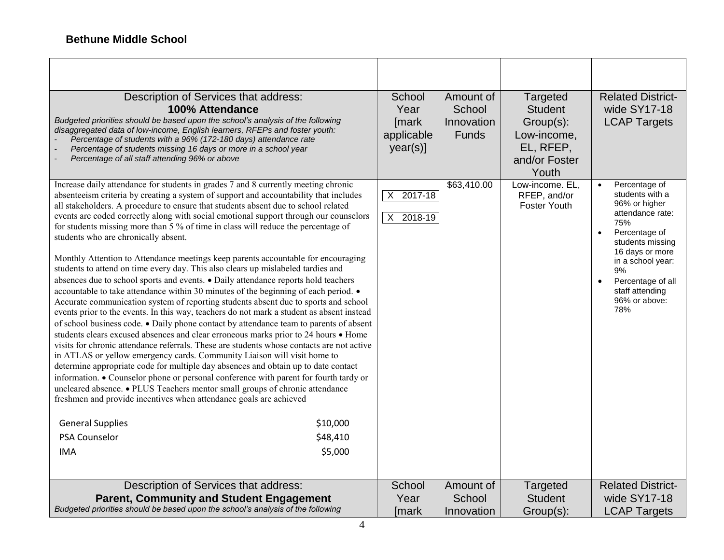| Description of Services that address:<br>100% Attendance<br>Budgeted priorities should be based upon the school's analysis of the following<br>disaggregated data of low-income, English learners, RFEPs and foster youth:<br>Percentage of students with a 96% (172-180 days) attendance rate<br>Percentage of students missing 16 days or more in a school year<br>Percentage of all staff attending 96% or above                                                                                                                                                                                                                                                                                                                                                                                                                                                                                                                                                                                                                                                                                                                                                                                                                                                                                                                                                                                                                                                                                                                                                                                                                                                                                                                                                                                |                                 | School<br>Year<br>[mark<br>applicable<br>year(s)]    | Amount of<br>School<br>Innovation<br><b>Funds</b> | Targeted<br><b>Student</b><br>Group(s):<br>Low-income,<br>EL, RFEP,<br>and/or Foster<br>Youth | <b>Related District-</b><br>wide SY17-18<br><b>LCAP Targets</b>                                                                                                                                                                              |
|----------------------------------------------------------------------------------------------------------------------------------------------------------------------------------------------------------------------------------------------------------------------------------------------------------------------------------------------------------------------------------------------------------------------------------------------------------------------------------------------------------------------------------------------------------------------------------------------------------------------------------------------------------------------------------------------------------------------------------------------------------------------------------------------------------------------------------------------------------------------------------------------------------------------------------------------------------------------------------------------------------------------------------------------------------------------------------------------------------------------------------------------------------------------------------------------------------------------------------------------------------------------------------------------------------------------------------------------------------------------------------------------------------------------------------------------------------------------------------------------------------------------------------------------------------------------------------------------------------------------------------------------------------------------------------------------------------------------------------------------------------------------------------------------------|---------------------------------|------------------------------------------------------|---------------------------------------------------|-----------------------------------------------------------------------------------------------|----------------------------------------------------------------------------------------------------------------------------------------------------------------------------------------------------------------------------------------------|
| Increase daily attendance for students in grades 7 and 8 currently meeting chronic<br>absenteeism criteria by creating a system of support and accountability that includes<br>all stakeholders. A procedure to ensure that students absent due to school related<br>events are coded correctly along with social emotional support through our counselors<br>for students missing more than 5 % of time in class will reduce the percentage of<br>students who are chronically absent.<br>Monthly Attention to Attendance meetings keep parents accountable for encouraging<br>students to attend on time every day. This also clears up mislabeled tardies and<br>absences due to school sports and events. • Daily attendance reports hold teachers<br>accountable to take attendance within 30 minutes of the beginning of each period. $\bullet$<br>Accurate communication system of reporting students absent due to sports and school<br>events prior to the events. In this way, teachers do not mark a student as absent instead<br>of school business code. • Daily phone contact by attendance team to parents of absent<br>students clears excused absences and clear erroneous marks prior to 24 hours • Home<br>visits for chronic attendance referrals. These are students whose contacts are not active<br>in ATLAS or yellow emergency cards. Community Liaison will visit home to<br>determine appropriate code for multiple day absences and obtain up to date contact<br>information. • Counselor phone or personal conference with parent for fourth tardy or<br>uncleared absence. • PLUS Teachers mentor small groups of chronic attendance<br>freshmen and provide incentives when attendance goals are achieved<br><b>General Supplies</b><br>PSA Counselor<br><b>IMA</b> | \$10,000<br>\$48,410<br>\$5,000 | $\overline{X}$<br>2017-18<br>2018-19<br>$\mathsf{X}$ | \$63,410.00                                       | Low-income. EL,<br>RFEP, and/or<br>Foster Youth                                               | Percentage of<br>students with a<br>96% or higher<br>attendance rate:<br>75%<br>Percentage of<br>$\bullet$<br>students missing<br>16 days or more<br>in a school year:<br>9%<br>Percentage of all<br>staff attending<br>96% or above:<br>78% |
| Description of Services that address:<br><b>Parent, Community and Student Engagement</b><br>Budgeted priorities should be based upon the school's analysis of the following                                                                                                                                                                                                                                                                                                                                                                                                                                                                                                                                                                                                                                                                                                                                                                                                                                                                                                                                                                                                                                                                                                                                                                                                                                                                                                                                                                                                                                                                                                                                                                                                                        |                                 | School<br>Year<br>[mark                              | Amount of<br>School<br>Innovation                 | Targeted<br><b>Student</b><br>Group(s):                                                       | <b>Related District-</b><br>wide SY17-18<br><b>LCAP Targets</b>                                                                                                                                                                              |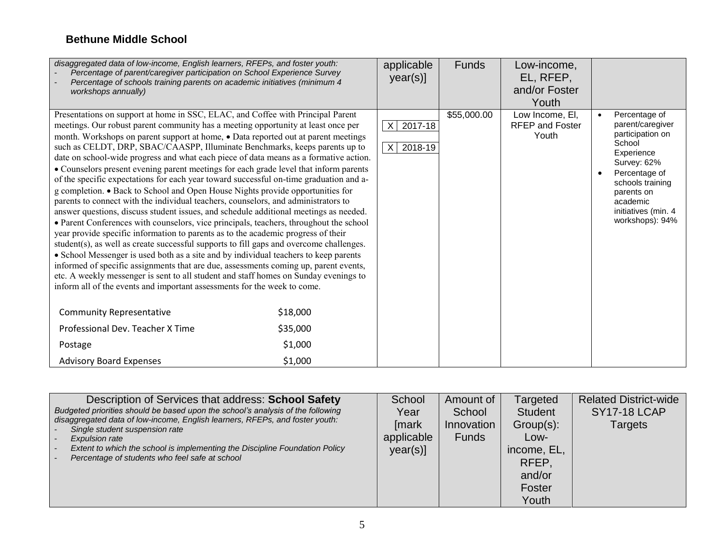| disaggregated data of low-income, English learners, RFEPs, and foster youth:<br>Percentage of parent/caregiver participation on School Experience Survey<br>Percentage of schools training parents on academic initiatives (minimum 4<br>workshops annually)                                                                                                                                                                                                                                                                                                                                                                                                                                                                                                                                                                                                                                                                                                                                                                                                                                                                                                                                                                                                                                                                                                                                                                                                                                                         |          | applicable<br>year(s)]                         | <b>Funds</b> | Low-income,<br>EL, RFEP,<br>and/or Foster<br>Youth |                                                                                                                                                                                                       |
|----------------------------------------------------------------------------------------------------------------------------------------------------------------------------------------------------------------------------------------------------------------------------------------------------------------------------------------------------------------------------------------------------------------------------------------------------------------------------------------------------------------------------------------------------------------------------------------------------------------------------------------------------------------------------------------------------------------------------------------------------------------------------------------------------------------------------------------------------------------------------------------------------------------------------------------------------------------------------------------------------------------------------------------------------------------------------------------------------------------------------------------------------------------------------------------------------------------------------------------------------------------------------------------------------------------------------------------------------------------------------------------------------------------------------------------------------------------------------------------------------------------------|----------|------------------------------------------------|--------------|----------------------------------------------------|-------------------------------------------------------------------------------------------------------------------------------------------------------------------------------------------------------|
| Presentations on support at home in SSC, ELAC, and Coffee with Principal Parent<br>meetings. Our robust parent community has a meeting opportunity at least once per<br>month. Workshops on parent support at home, . Data reported out at parent meetings<br>such as CELDT, DRP, SBAC/CAASPP, Illuminate Benchmarks, keeps parents up to<br>date on school-wide progress and what each piece of data means as a formative action.<br>• Counselors present evening parent meetings for each grade level that inform parents<br>of the specific expectations for each year toward successful on-time graduation and a-<br>g completion. • Back to School and Open House Nights provide opportunities for<br>parents to connect with the individual teachers, counselors, and administrators to<br>answer questions, discuss student issues, and schedule additional meetings as needed.<br>• Parent Conferences with counselors, vice principals, teachers, throughout the school<br>year provide specific information to parents as to the academic progress of their<br>student(s), as well as create successful supports to fill gaps and overcome challenges.<br>• School Messenger is used both as a site and by individual teachers to keep parents<br>informed of specific assignments that are due, assessments coming up, parent events,<br>etc. A weekly messenger is sent to all student and staff homes on Sunday evenings to<br>inform all of the events and important assessments for the week to come. |          | 2017-18<br>$\mathsf{X}$<br>2018-19<br>$\times$ | \$55,000.00  | Low Income, El,<br><b>RFEP and Foster</b><br>Youth | Percentage of<br>parent/caregiver<br>participation on<br>School<br>Experience<br>Survey: 62%<br>Percentage of<br>schools training<br>parents on<br>academic<br>initiatives (min. 4<br>workshops): 94% |
| <b>Community Representative</b>                                                                                                                                                                                                                                                                                                                                                                                                                                                                                                                                                                                                                                                                                                                                                                                                                                                                                                                                                                                                                                                                                                                                                                                                                                                                                                                                                                                                                                                                                      | \$18,000 |                                                |              |                                                    |                                                                                                                                                                                                       |
| Professional Dev. Teacher X Time                                                                                                                                                                                                                                                                                                                                                                                                                                                                                                                                                                                                                                                                                                                                                                                                                                                                                                                                                                                                                                                                                                                                                                                                                                                                                                                                                                                                                                                                                     | \$35,000 |                                                |              |                                                    |                                                                                                                                                                                                       |
| Postage                                                                                                                                                                                                                                                                                                                                                                                                                                                                                                                                                                                                                                                                                                                                                                                                                                                                                                                                                                                                                                                                                                                                                                                                                                                                                                                                                                                                                                                                                                              | \$1,000  |                                                |              |                                                    |                                                                                                                                                                                                       |
| <b>Advisory Board Expenses</b>                                                                                                                                                                                                                                                                                                                                                                                                                                                                                                                                                                                                                                                                                                                                                                                                                                                                                                                                                                                                                                                                                                                                                                                                                                                                                                                                                                                                                                                                                       | \$1,000  |                                                |              |                                                    |                                                                                                                                                                                                       |

| Description of Services that address: School Safety<br>Budgeted priorities should be based upon the school's analysis of the following<br>disaggregated data of low-income, English learners, RFEPs, and foster youth:<br>Single student suspension rate<br>Expulsion rate<br>Extent to which the school is implementing the Discipline Foundation Policy<br>Percentage of students who feel safe at school | School<br>Year<br>[mark<br>applicable<br>$year(s)$ ] | Amount of<br>School<br>Innovation<br><b>Funds</b> | Targeted<br><b>Student</b><br>$Group(s)$ :<br>Low-<br>income, EL,<br>RFEP.<br>and/or<br>Foster<br>Youth | <b>Related District-wide</b><br><b>SY17-18 LCAP</b><br>Targets |
|-------------------------------------------------------------------------------------------------------------------------------------------------------------------------------------------------------------------------------------------------------------------------------------------------------------------------------------------------------------------------------------------------------------|------------------------------------------------------|---------------------------------------------------|---------------------------------------------------------------------------------------------------------|----------------------------------------------------------------|
|-------------------------------------------------------------------------------------------------------------------------------------------------------------------------------------------------------------------------------------------------------------------------------------------------------------------------------------------------------------------------------------------------------------|------------------------------------------------------|---------------------------------------------------|---------------------------------------------------------------------------------------------------------|----------------------------------------------------------------|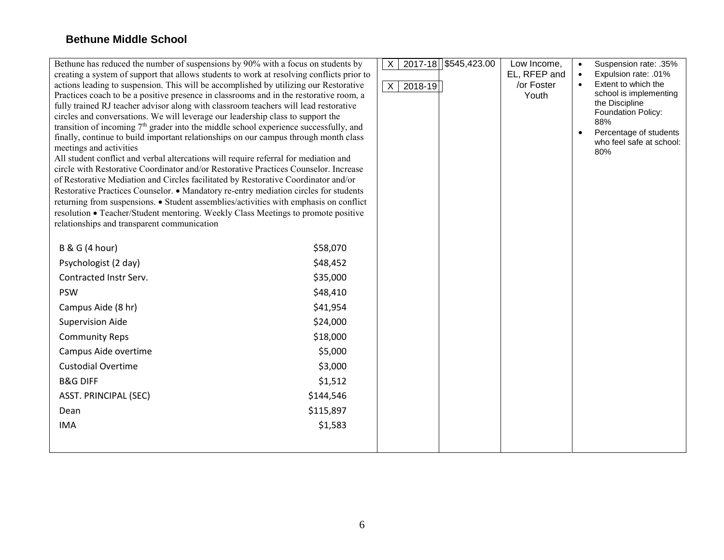| Bethune has reduced the number of suspensions by 90% with a focus on students by<br>creating a system of support that allows students to work at resolving conflicts prior to<br>actions leading to suspension. This will be accomplished by utilizing our Restorative<br>Practices coach to be a positive presence in classrooms and in the restorative room, a<br>fully trained RJ teacher advisor along with classroom teachers will lead restorative<br>circles and conversations. We will leverage our leadership class to support the<br>transition of incoming 7 <sup>th</sup> grader into the middle school experience successfully, and<br>finally, continue to build important relationships on our campus through month class<br>meetings and activities<br>All student conflict and verbal altercations will require referral for mediation and<br>circle with Restorative Coordinator and/or Restorative Practices Counselor. Increase<br>of Restorative Mediation and Circles facilitated by Restorative Coordinator and/or<br>Restorative Practices Counselor. • Mandatory re-entry mediation circles for students<br>returning from suspensions. • Student assemblies/activities with emphasis on conflict<br>resolution • Teacher/Student mentoring. Weekly Class Meetings to promote positive<br>relationships and transparent communication |           | $\mathsf{X}$<br>$\overline{X}$<br>$2018 - 19$ | 2017-18 \$545,423.00 | Low Income,<br>EL, RFEP and<br>/or Foster<br>Youth | Suspension rate: .35%<br>$\bullet$<br>Expulsion rate: .01%<br>$\bullet$<br>Extent to which the<br>$\bullet$<br>school is implementing<br>the Discipline<br>Foundation Policy:<br>88%<br>Percentage of students<br>$\bullet$<br>who feel safe at school:<br>80% |
|----------------------------------------------------------------------------------------------------------------------------------------------------------------------------------------------------------------------------------------------------------------------------------------------------------------------------------------------------------------------------------------------------------------------------------------------------------------------------------------------------------------------------------------------------------------------------------------------------------------------------------------------------------------------------------------------------------------------------------------------------------------------------------------------------------------------------------------------------------------------------------------------------------------------------------------------------------------------------------------------------------------------------------------------------------------------------------------------------------------------------------------------------------------------------------------------------------------------------------------------------------------------------------------------------------------------------------------------------------------|-----------|-----------------------------------------------|----------------------|----------------------------------------------------|----------------------------------------------------------------------------------------------------------------------------------------------------------------------------------------------------------------------------------------------------------------|
| <b>B &amp; G (4 hour)</b>                                                                                                                                                                                                                                                                                                                                                                                                                                                                                                                                                                                                                                                                                                                                                                                                                                                                                                                                                                                                                                                                                                                                                                                                                                                                                                                                      | \$58,070  |                                               |                      |                                                    |                                                                                                                                                                                                                                                                |
| Psychologist (2 day)                                                                                                                                                                                                                                                                                                                                                                                                                                                                                                                                                                                                                                                                                                                                                                                                                                                                                                                                                                                                                                                                                                                                                                                                                                                                                                                                           | \$48,452  |                                               |                      |                                                    |                                                                                                                                                                                                                                                                |
| Contracted Instr Serv.                                                                                                                                                                                                                                                                                                                                                                                                                                                                                                                                                                                                                                                                                                                                                                                                                                                                                                                                                                                                                                                                                                                                                                                                                                                                                                                                         | \$35,000  |                                               |                      |                                                    |                                                                                                                                                                                                                                                                |
| <b>PSW</b>                                                                                                                                                                                                                                                                                                                                                                                                                                                                                                                                                                                                                                                                                                                                                                                                                                                                                                                                                                                                                                                                                                                                                                                                                                                                                                                                                     | \$48,410  |                                               |                      |                                                    |                                                                                                                                                                                                                                                                |
| Campus Aide (8 hr)                                                                                                                                                                                                                                                                                                                                                                                                                                                                                                                                                                                                                                                                                                                                                                                                                                                                                                                                                                                                                                                                                                                                                                                                                                                                                                                                             | \$41,954  |                                               |                      |                                                    |                                                                                                                                                                                                                                                                |
| <b>Supervision Aide</b>                                                                                                                                                                                                                                                                                                                                                                                                                                                                                                                                                                                                                                                                                                                                                                                                                                                                                                                                                                                                                                                                                                                                                                                                                                                                                                                                        | \$24,000  |                                               |                      |                                                    |                                                                                                                                                                                                                                                                |
| <b>Community Reps</b>                                                                                                                                                                                                                                                                                                                                                                                                                                                                                                                                                                                                                                                                                                                                                                                                                                                                                                                                                                                                                                                                                                                                                                                                                                                                                                                                          | \$18,000  |                                               |                      |                                                    |                                                                                                                                                                                                                                                                |
| Campus Aide overtime                                                                                                                                                                                                                                                                                                                                                                                                                                                                                                                                                                                                                                                                                                                                                                                                                                                                                                                                                                                                                                                                                                                                                                                                                                                                                                                                           | \$5,000   |                                               |                      |                                                    |                                                                                                                                                                                                                                                                |
| <b>Custodial Overtime</b>                                                                                                                                                                                                                                                                                                                                                                                                                                                                                                                                                                                                                                                                                                                                                                                                                                                                                                                                                                                                                                                                                                                                                                                                                                                                                                                                      | \$3,000   |                                               |                      |                                                    |                                                                                                                                                                                                                                                                |
| <b>B&amp;G DIFF</b>                                                                                                                                                                                                                                                                                                                                                                                                                                                                                                                                                                                                                                                                                                                                                                                                                                                                                                                                                                                                                                                                                                                                                                                                                                                                                                                                            | \$1,512   |                                               |                      |                                                    |                                                                                                                                                                                                                                                                |
| <b>ASST. PRINCIPAL (SEC)</b>                                                                                                                                                                                                                                                                                                                                                                                                                                                                                                                                                                                                                                                                                                                                                                                                                                                                                                                                                                                                                                                                                                                                                                                                                                                                                                                                   | \$144,546 |                                               |                      |                                                    |                                                                                                                                                                                                                                                                |
| Dean                                                                                                                                                                                                                                                                                                                                                                                                                                                                                                                                                                                                                                                                                                                                                                                                                                                                                                                                                                                                                                                                                                                                                                                                                                                                                                                                                           | \$115,897 |                                               |                      |                                                    |                                                                                                                                                                                                                                                                |
| <b>IMA</b>                                                                                                                                                                                                                                                                                                                                                                                                                                                                                                                                                                                                                                                                                                                                                                                                                                                                                                                                                                                                                                                                                                                                                                                                                                                                                                                                                     | \$1,583   |                                               |                      |                                                    |                                                                                                                                                                                                                                                                |
|                                                                                                                                                                                                                                                                                                                                                                                                                                                                                                                                                                                                                                                                                                                                                                                                                                                                                                                                                                                                                                                                                                                                                                                                                                                                                                                                                                |           |                                               |                      |                                                    |                                                                                                                                                                                                                                                                |
|                                                                                                                                                                                                                                                                                                                                                                                                                                                                                                                                                                                                                                                                                                                                                                                                                                                                                                                                                                                                                                                                                                                                                                                                                                                                                                                                                                |           |                                               |                      |                                                    |                                                                                                                                                                                                                                                                |